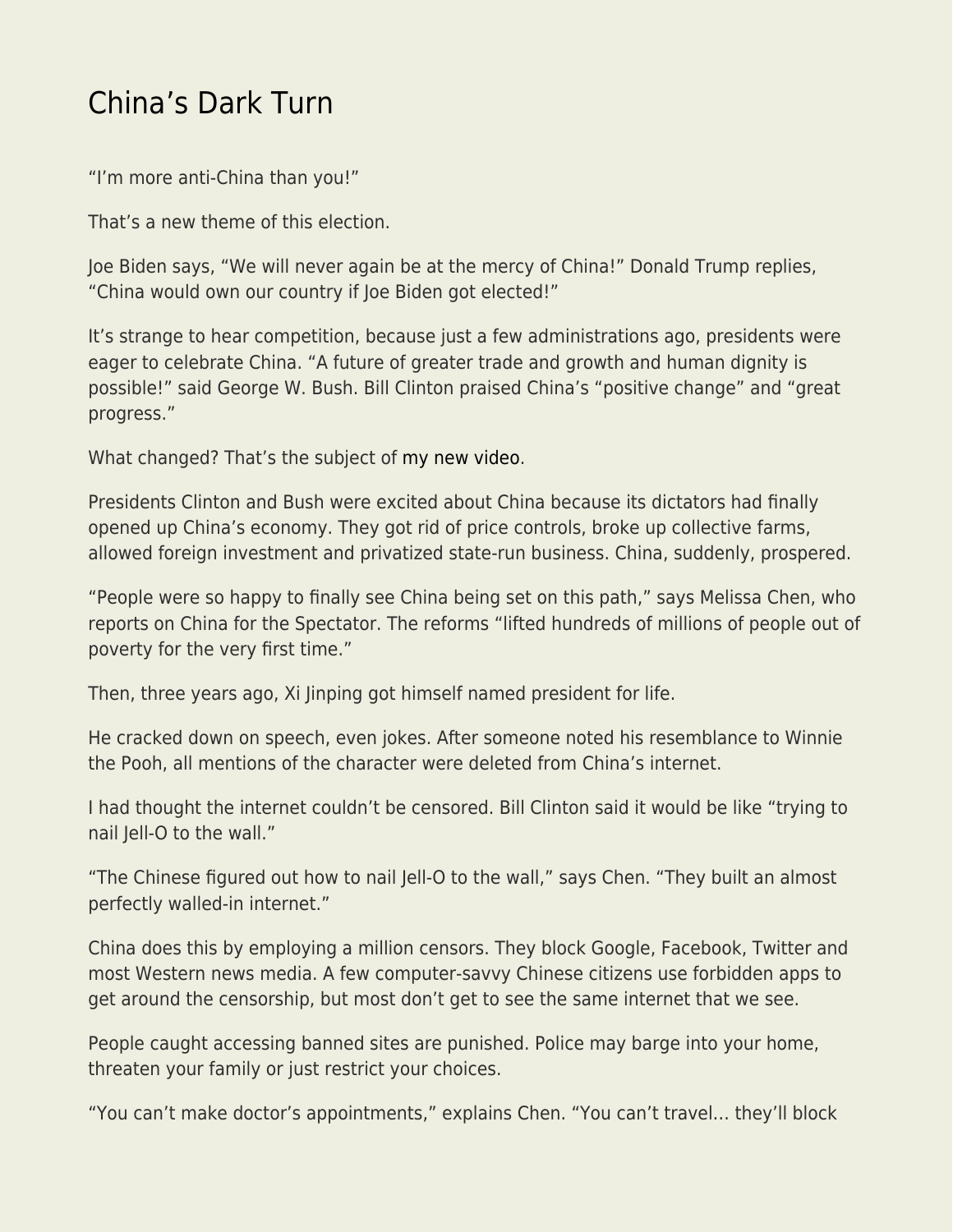## [China's Dark Turn](https://everything-voluntary.com/chinas-dark-turn)

"I'm more anti-China than you!"

That's a new theme of this election.

Joe Biden says, "We will never again be at the mercy of China!" Donald Trump replies, "China would own our country if Joe Biden got elected!"

It's strange to hear competition, because just a few administrations ago, presidents were eager to celebrate China. "A future of greater trade and growth and human dignity is possible!" said George W. Bush. Bill Clinton praised China's "positive change" and "great progress."

What changed? That's the subject of [my new video](https://www.youtube.com/watch?v=NFFgN44KPmk).

Presidents Clinton and Bush were excited about China because its dictators had finally opened up China's economy. They got rid of price controls, broke up collective farms, allowed foreign investment and privatized state-run business. China, suddenly, prospered.

"People were so happy to finally see China being set on this path," says Melissa Chen, who reports on China for the Spectator. The reforms "lifted hundreds of millions of people out of poverty for the very first time."

Then, three years ago, Xi Jinping got himself named president for life.

He cracked down on speech, even jokes. After someone noted his resemblance to Winnie the Pooh, all mentions of the character were deleted from China's internet.

I had thought the internet couldn't be censored. Bill Clinton said it would be like "trying to nail Jell-O to the wall."

"The Chinese figured out how to nail Jell-O to the wall," says Chen. "They built an almost perfectly walled-in internet."

China does this by employing a million censors. They block Google, Facebook, Twitter and most Western news media. A few computer-savvy Chinese citizens use forbidden apps to get around the censorship, but most don't get to see the same internet that we see.

People caught accessing banned sites are punished. Police may barge into your home, threaten your family or just restrict your choices.

"You can't make doctor's appointments," explains Chen. "You can't travel… they'll block